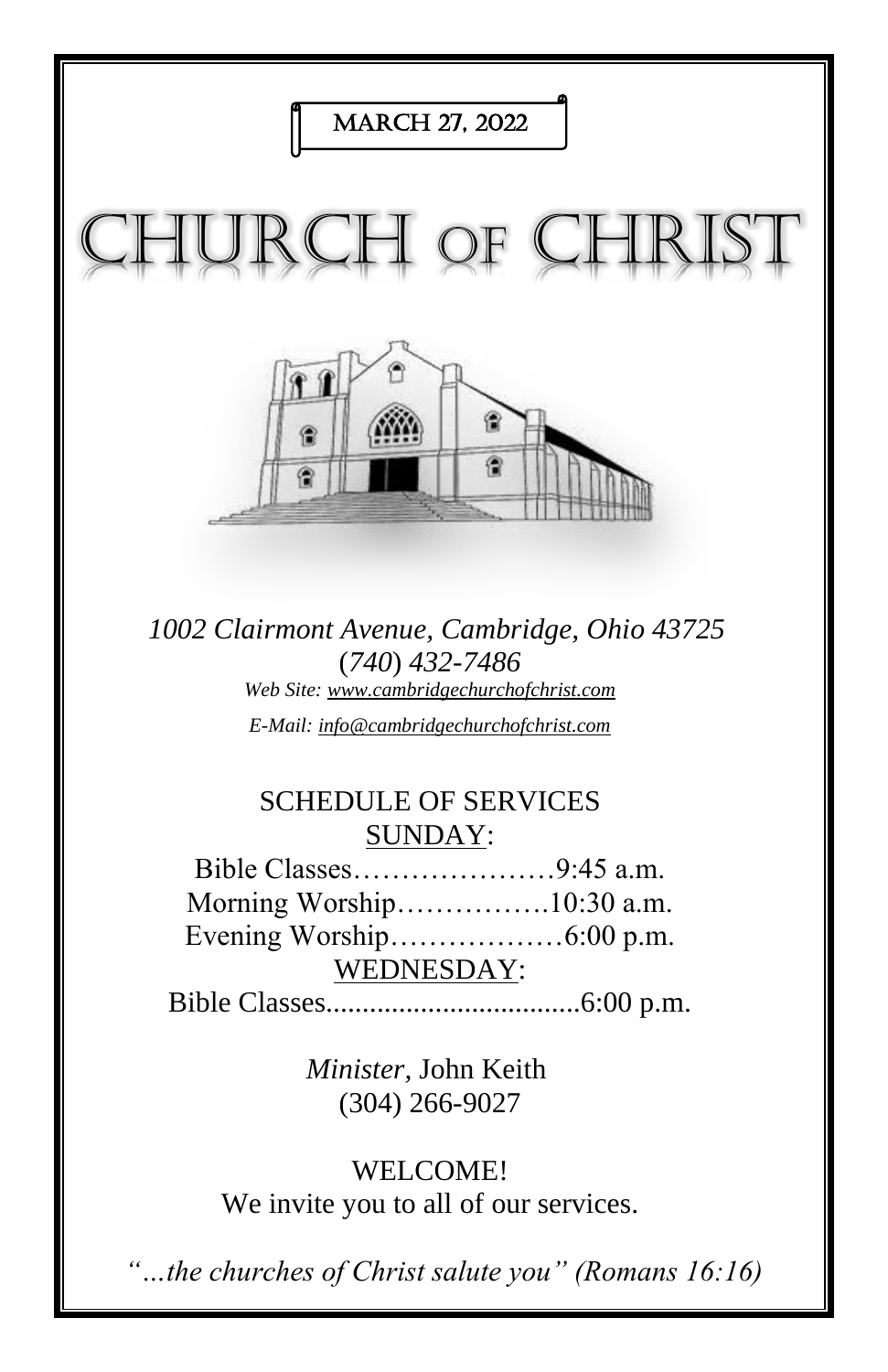

*1002 Clairmont Avenue, Cambridge, Ohio 43725* (*740*) *432-7486 Web Site: www.cambridgechurchofchrist.com E-Mail: info@cambridgechurchofchrist.com*

# SCHEDULE OF SERVICES SUNDAY:

Bible Classes…………………9:45 a.m. Morning Worship…………….10:30 a.m. Evening Worship………………6:00 p.m. WEDNESDAY:

Bible Classes...................................6:00 p.m.

*Minister,* John Keith (304) 266-9027

WELCOME! We invite you to all of our services.

*"…the churches of Christ salute you" (Romans 16:16)*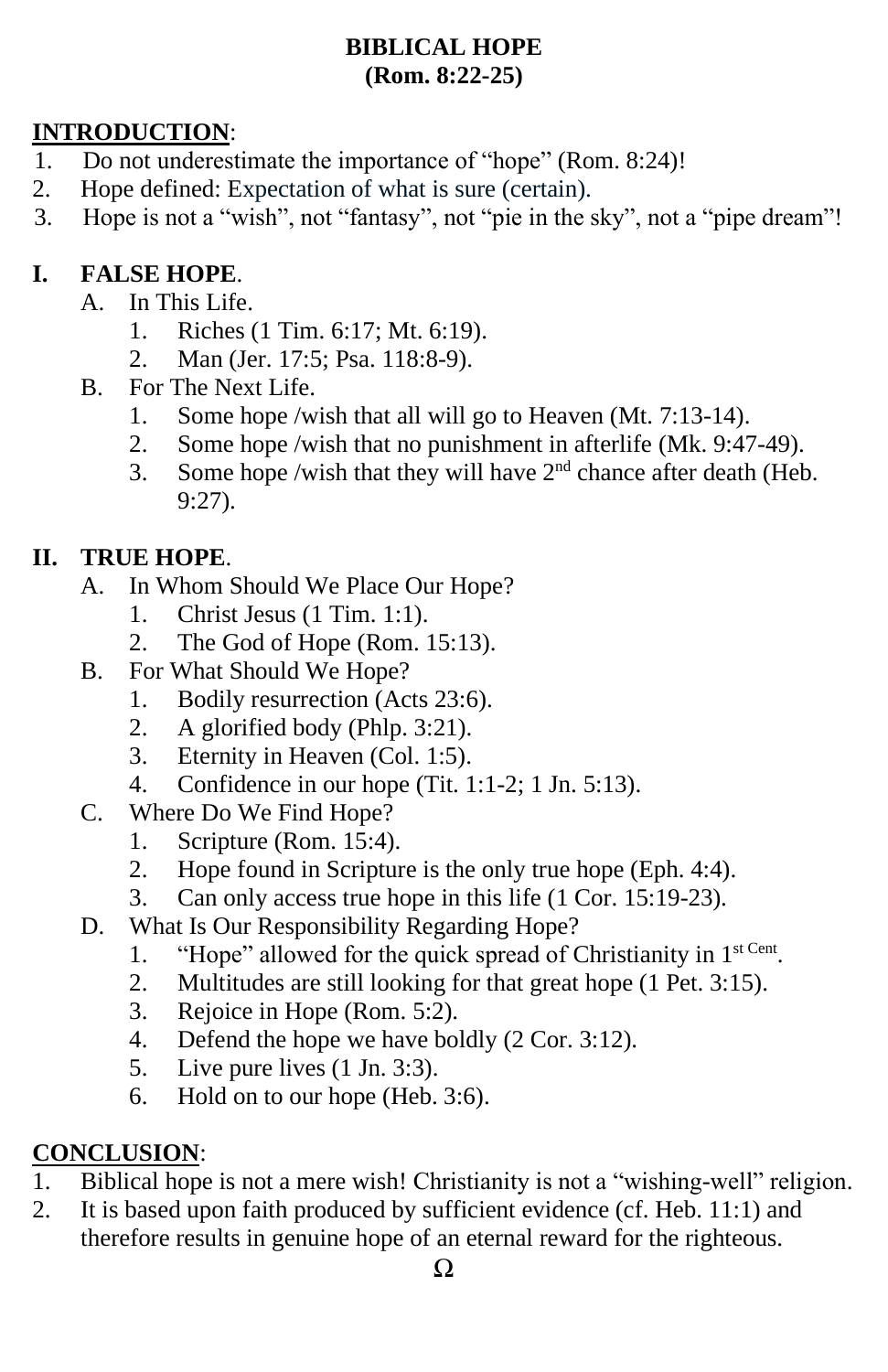#### **BIBLICAL HOPE (Rom. 8:22-25)**

### **INTRODUCTION**:

- 1. Do not underestimate the importance of "hope" (Rom. 8:24)!
- 2. Hope defined: Expectation of what is sure (certain).
- 3. Hope is not a "wish", not "fantasy", not "pie in the sky", not a "pipe dream"!

## **I. FALSE HOPE**.

- A. In This Life.
	- 1. Riches (1 Tim. 6:17; Mt. 6:19).
	- 2. Man (Jer. 17:5; Psa. 118:8-9).
- B. For The Next Life.
	- 1. Some hope /wish that all will go to Heaven (Mt. 7:13-14).
	- 2. Some hope /wish that no punishment in afterlife (Mk. 9:47-49).
	- 3. Some hope /wish that they will have  $2<sup>nd</sup>$  chance after death (Heb. 9:27).

#### **II. TRUE HOPE**.

- A. In Whom Should We Place Our Hope?
	- 1. Christ Jesus (1 Tim. 1:1).
	- 2. The God of Hope (Rom. 15:13).
- B. For What Should We Hope?
	- 1. Bodily resurrection (Acts 23:6).
	- 2. A glorified body (Phlp. 3:21).
	- 3. Eternity in Heaven (Col. 1:5).
	- 4. Confidence in our hope (Tit. 1:1-2; 1 Jn. 5:13).
- C. Where Do We Find Hope?
	- 1. Scripture (Rom. 15:4).
	- 2. Hope found in Scripture is the only true hope (Eph. 4:4).
	- 3. Can only access true hope in this life (1 Cor. 15:19-23).
- D. What Is Our Responsibility Regarding Hope?
	- 1. "Hope" allowed for the quick spread of Christianity in 1<sup>st Cent</sup>.
	- 2. Multitudes are still looking for that great hope (1 Pet. 3:15).
	- 3. Rejoice in Hope (Rom. 5:2).
	- 4. Defend the hope we have boldly (2 Cor. 3:12).
	- 5. Live pure lives (1 Jn. 3:3).
	- 6. Hold on to our hope (Heb. 3:6).

## **CONCLUSION**:

- 1. Biblical hope is not a mere wish! Christianity is not a "wishing-well" religion.
- 2. It is based upon faith produced by sufficient evidence (cf. Heb. 11:1) and therefore results in genuine hope of an eternal reward for the righteous.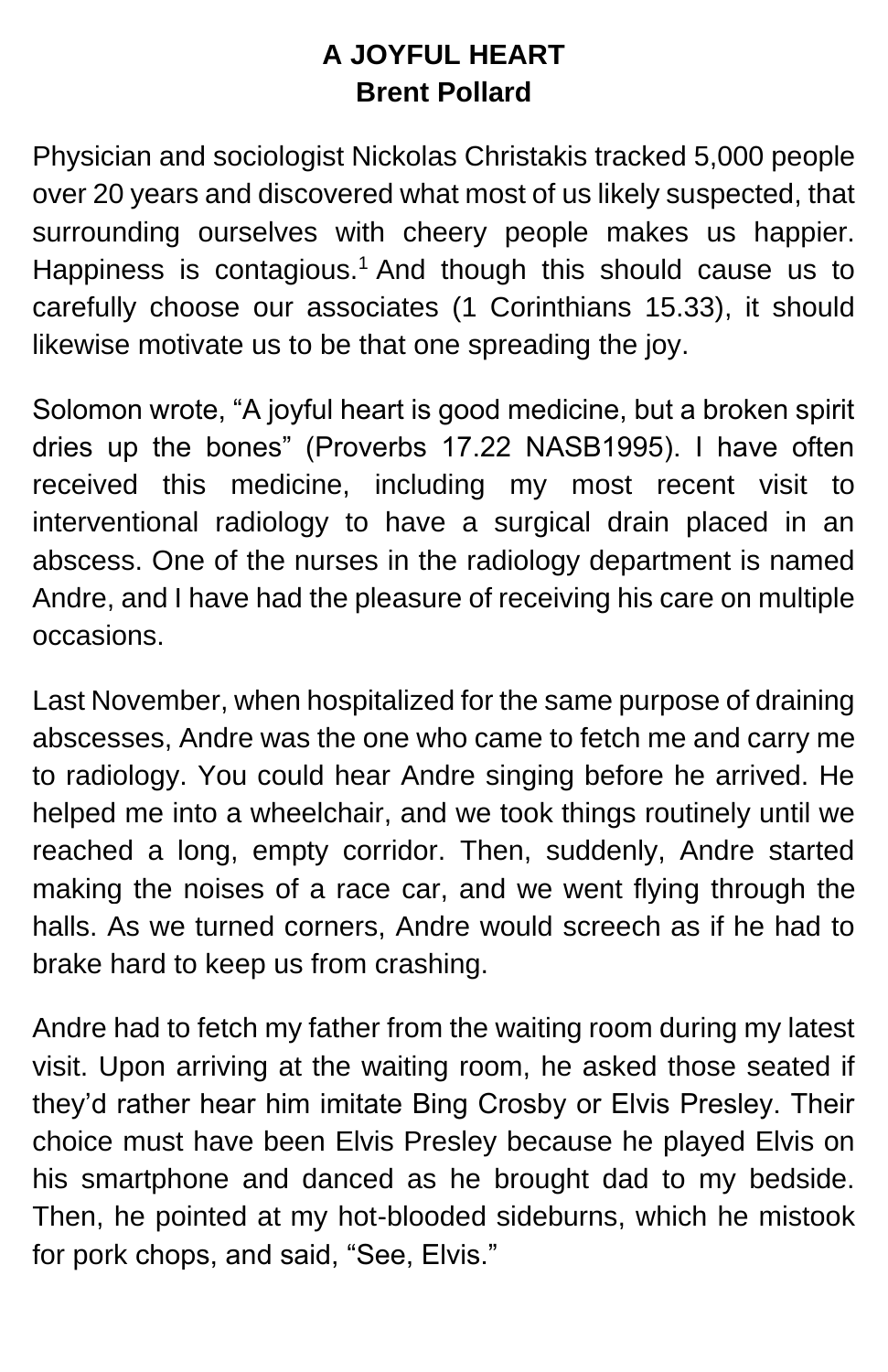# **A JOYFUL HEART Brent Pollard**

Physician and sociologist Nickolas Christakis tracked 5,000 people over 20 years and discovered what most of us likely suspected, that surrounding ourselves with cheery people makes us happier. Happiness is contagious.<sup>1</sup> And though this should cause us to carefully choose our associates (1 Corinthians 15.33), it should likewise motivate us to be that one spreading the joy.

Solomon wrote, "A joyful heart is good medicine, but a broken spirit dries up the bones" (Proverbs 17.22 NASB1995). I have often received this medicine, including my most recent visit to interventional radiology to have a surgical drain placed in an abscess. One of the nurses in the radiology department is named Andre, and I have had the pleasure of receiving his care on multiple occasions.

Last November, when hospitalized for the same purpose of draining abscesses, Andre was the one who came to fetch me and carry me to radiology. You could hear Andre singing before he arrived. He helped me into a wheelchair, and we took things routinely until we reached a long, empty corridor. Then, suddenly, Andre started making the noises of a race car, and we went flying through the halls. As we turned corners, Andre would screech as if he had to brake hard to keep us from crashing.

Andre had to fetch my father from the waiting room during my latest visit. Upon arriving at the waiting room, he asked those seated if they'd rather hear him imitate Bing Crosby or Elvis Presley. Their choice must have been Elvis Presley because he played Elvis on his smartphone and danced as he brought dad to my bedside. Then, he pointed at my hot-blooded sideburns, which he mistook for pork chops, and said, "See, Elvis."